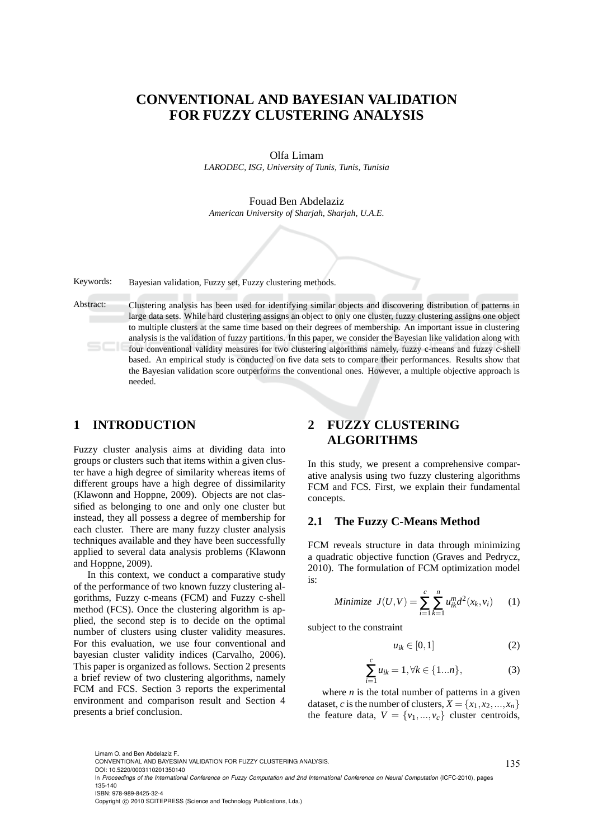# **CONVENTIONAL AND BAYESIAN VALIDATION FOR FUZZY CLUSTERING ANALYSIS**

Olfa Limam *LARODEC, ISG, University of Tunis, Tunis, Tunisia*

Fouad Ben Abdelaziz *American University of Sharjah, Sharjah, U.A.E.*

Keywords: Bayesian validation, Fuzzy set, Fuzzy clustering methods.

Abstract: Clustering analysis has been used for identifying similar objects and discovering distribution of patterns in large data sets. While hard clustering assigns an object to only one cluster, fuzzy clustering assigns one object to multiple clusters at the same time based on their degrees of membership. An important issue in clustering analysis is the validation of fuzzy partitions. In this paper, we consider the Bayesian like validation along with four conventional validity measures for two clustering algorithms namely, fuzzy c-means and fuzzy c-shell based. An empirical study is conducted on five data sets to compare their performances. Results show that the Bayesian validation score outperforms the conventional ones. However, a multiple objective approach is needed.

## **1 INTRODUCTION**

Fuzzy cluster analysis aims at dividing data into groups or clusters such that items within a given cluster have a high degree of similarity whereas items of different groups have a high degree of dissimilarity (Klawonn and Hoppne, 2009). Objects are not classified as belonging to one and only one cluster but instead, they all possess a degree of membership for each cluster. There are many fuzzy cluster analysis techniques available and they have been successfully applied to several data analysis problems (Klawonn and Hoppne, 2009).

In this context, we conduct a comparative study of the performance of two known fuzzy clustering algorithms, Fuzzy c-means (FCM) and Fuzzy c-shell method (FCS). Once the clustering algorithm is applied, the second step is to decide on the optimal number of clusters using cluster validity measures. For this evaluation, we use four conventional and bayesian cluster validity indices (Carvalho, 2006). This paper is organized as follows. Section 2 presents a brief review of two clustering algorithms, namely FCM and FCS. Section 3 reports the experimental environment and comparison result and Section 4 presents a brief conclusion.

# **2 FUZZY CLUSTERING ALGORITHMS**

In this study, we present a comprehensive comparative analysis using two fuzzy clustering algorithms FCM and FCS. First, we explain their fundamental concepts.

### **2.1 The Fuzzy C-Means Method**

FCM reveals structure in data through minimizing a quadratic objective function (Graves and Pedrycz, 2010). The formulation of FCM optimization model is:

Minimize 
$$
J(U, V) = \sum_{i=1}^{c} \sum_{k=1}^{n} u_{ik}^{m} d^{2}(x_{k}, v_{i})
$$
 (1)

subject to the constraint

$$
u_{ik} \in [0,1] \tag{2}
$$

$$
\sum_{i=1}^{c} u_{ik} = 1, \forall k \in \{1...n\},
$$
 (3)

where  $n$  is the total number of patterns in a given dataset, *c* is the number of clusters,  $X = \{x_1, x_2, ..., x_n\}$ the feature data,  $V = \{v_1, ..., v_c\}$  cluster centroids,

Limam O. and Ben Abdelaziz F..

ISBN: 978-989-8425-32-4

135

CONVENTIONAL AND BAYESIAN VALIDATION FOR FUZZY CLUSTERING ANALYSIS.

DOI: 10.5220/0003110201350140

In *Proceedings of the International Conference on Fuzzy Computation and 2nd International Conference on Neural Computation* (ICFC-2010), pages 135-140

Copyright © 2010 SCITEPRESS (Science and Technology Publications, Lda.)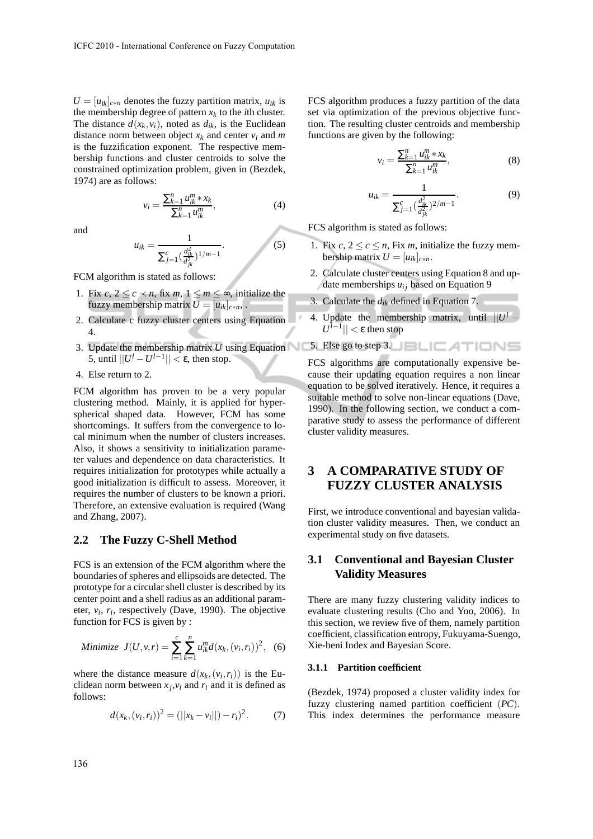$U = [u_{ik}]_{c*n}$  denotes the fuzzy partition matrix,  $u_{ik}$  is the membership degree of pattern  $x_k$  to the *i*th cluster. The distance  $d(x_k, v_i)$ , noted as  $d_{ik}$ , is the Euclidean distance norm between object  $x_k$  and center  $v_i$  and  $m$ is the fuzzification exponent. The respective membership functions and cluster centroids to solve the constrained optimization problem, given in (Bezdek, 1974) are as follows:

> $v_i = \frac{\sum_{k=1}^{n} u_{ik}^m * x_k}{\sum_{k=1}^{n} u_{ik}^m}$  $\sum_{k=1}^n u_{ik}^m$

and

$$
=\frac{1}{\sum_{j=1}^{c}(\frac{d_{ik}^{2}}{d_{jk}^{2}})^{1/m-1}}.
$$
\n(5)

 $(4)$ 

FCM algorithm is stated as follows:

 $u_{ik}$ 

- 1. Fix  $c, 2 \leq c \leq n$ , fix  $m, 1 \leq m \leq \infty$ , initialize the fuzzy membership matrix  $U = [u_{ik}]_{c*n}$ ,
- 2. Calculate c fuzzy cluster centers using Equation 4.
- 3. Update the membership matrix  $U$  using Equation  $\sim$  5. Else go to step 3. 5, until  $||U^l - U^{l-1}|| < \varepsilon$ , then stop.
- 4. Else return to 2.

FCM algorithm has proven to be a very popular clustering method. Mainly, it is applied for hyperspherical shaped data. However, FCM has some shortcomings. It suffers from the convergence to local minimum when the number of clusters increases. Also, it shows a sensitivity to initialization parameter values and dependence on data characteristics. It requires initialization for prototypes while actually a good initialization is difficult to assess. Moreover, it requires the number of clusters to be known a priori. Therefore, an extensive evaluation is required (Wang and Zhang, 2007).

### **2.2 The Fuzzy C-Shell Method**

FCS is an extension of the FCM algorithm where the boundaries of spheres and ellipsoids are detected. The prototype for a circular shell cluster is described by its center point and a shell radius as an additional parameter,  $v_i$ ,  $r_i$ , respectively (Dave, 1990). The objective function for FCS is given by :

Minimize 
$$
J(U, v, r) = \sum_{i=1}^{c} \sum_{k=1}^{n} u_{ik}^{m} d(x_k, (v_i, r_i))^{2}
$$
, (6)

where the distance measure  $d(x_k, (v_i, r_i))$  is the Euclidean norm between  $x_j$ ,  $v_i$  and  $r_i$  and it is defined as follows:

$$
d(x_k, (v_i, r_i))^2 = (||x_k - v_i||) - r_i)^2.
$$
 (7)

FCS algorithm produces a fuzzy partition of the data set via optimization of the previous objective function. The resulting cluster centroids and membership functions are given by the following:

$$
v_i = \frac{\sum_{k=1}^{n} u_{ik}^m * x_k}{\sum_{k=1}^{n} u_{ik}^m},\tag{8}
$$

$$
u_{ik} = \frac{1}{\sum_{j=1}^{c} \left(\frac{d_{ik}^2}{d_{jk}^2}\right)^{2/m-1}}.
$$
\n(9)

FCS algorithm is stated as follows:

- 1. Fix  $c, 2 \leq c \leq n$ , Fix *m*, initialize the fuzzy membership matrix  $U = [u_{ik}]_{c*n}$ .
- 2. Calculate cluster centers using Equation 8 and update memberships  $u_{ij}$  based on Equation 9
- 3. Calculate the *dik* defined in Equation 7.
- 4. Update the membership matrix, until  $||U^l |U^{\overline{l}-1}|$  | < ε then stop
- 

FCS algorithms are computationally expensive because their updating equation requires a non linear equation to be solved iteratively. Hence, it requires a suitable method to solve non-linear equations (Dave, 1990). In the following section, we conduct a comparative study to assess the performance of different cluster validity measures.

# **3 A COMPARATIVE STUDY OF FUZZY CLUSTER ANALYSIS**

First, we introduce conventional and bayesian validation cluster validity measures. Then, we conduct an experimental study on five datasets.

## **3.1 Conventional and Bayesian Cluster Validity Measures**

There are many fuzzy clustering validity indices to evaluate clustering results (Cho and Yoo, 2006). In this section, we review five of them, namely partition coefficient, classification entropy, Fukuyama-Suengo, Xie-beni Index and Bayesian Score.

#### **3.1.1 Partition coefficient**

(Bezdek, 1974) proposed a cluster validity index for fuzzy clustering named partition coefficient (*PC*). This index determines the performance measure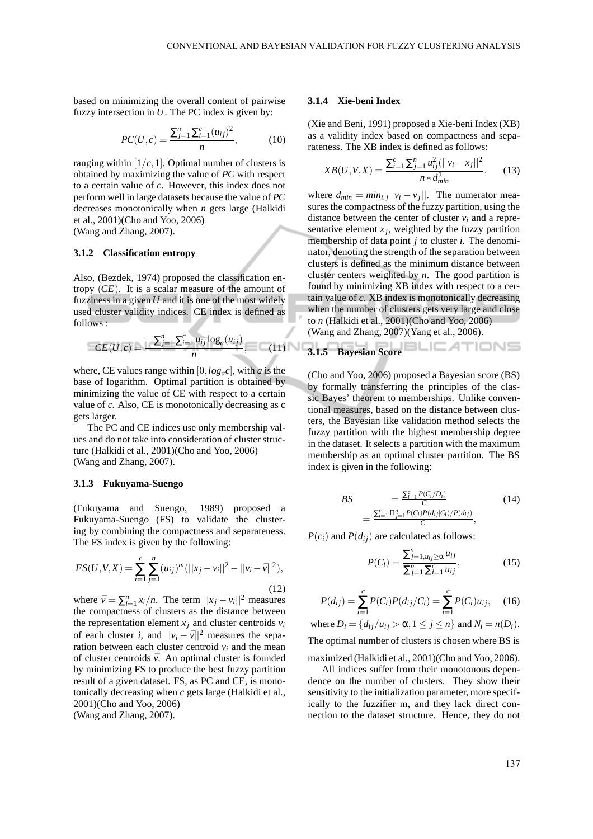based on minimizing the overall content of pairwise fuzzy intersection in *U*. The PC index is given by:

$$
PC(U, c) = \frac{\sum_{j=1}^{n} \sum_{i=1}^{c} (u_{ij})^2}{n}, \quad (10)
$$

ranging within  $[1/c, 1]$ . Optimal number of clusters is obtained by maximizing the value of *PC* with respect to a certain value of *c*. However, this index does not perform well in large datasets because the value of *PC* decreases monotonically when *n* gets large (Halkidi et al., 2001)(Cho and Yoo, 2006) (Wang and Zhang, 2007).

#### **3.1.2 Classification entropy**

Also, (Bezdek, 1974) proposed the classification entropy (*CE*). It is a scalar measure of the amount of fuzziness in a given *U* and it is one of the most widely used cluster validity indices. CE index is defined as follows :

$$
CE(U, c) = \frac{-\sum_{j=1}^{n} \sum_{i=1}^{c} u_{ij} \log_a(u_{ij})}{n}, \quad (11)
$$

where, CE values range within  $[0, log<sub>a</sub>c]$ , with *a* is the base of logarithm. Optimal partition is obtained by minimizing the value of CE with respect to a certain value of *c*. Also, CE is monotonically decreasing as c gets larger.

The PC and CE indices use only membership values and do not take into consideration of cluster structure (Halkidi et al., 2001)(Cho and Yoo, 2006) (Wang and Zhang, 2007).

#### **3.1.3 Fukuyama-Suengo**

(Fukuyama and Suengo, 1989) proposed a Fukuyama-Suengo (FS) to validate the clustering by combining the compactness and separateness. The FS index is given by the following:

$$
FS(U, V, X) = \sum_{i=1}^{c} \sum_{j=1}^{n} (u_{ij})^{m} (||x_j - v_i||^2 - ||v_i - \bar{v}||^2),
$$
\n(12)

where  $\bar{v} = \sum_{i=1}^{n} x_i/n$ . The term  $||x_j - v_i||^2$  measures the compactness of clusters as the distance between the representation element  $x_i$  and cluster centroids  $v_i$ of each cluster *i*, and  $||v_i - \bar{v}||^2$  measures the separation between each cluster centroid  $v_i$  and the mean of cluster centroids  $\bar{v}$ . An optimal cluster is founded by minimizing FS to produce the best fuzzy partition result of a given dataset. FS, as PC and CE, is monotonically decreasing when *c* gets large (Halkidi et al., 2001)(Cho and Yoo, 2006)

(Wang and Zhang, 2007).

#### **3.1.4 Xie-beni Index**

(Xie and Beni, 1991) proposed a Xie-beni Index (XB) as a validity index based on compactness and separateness. The XB index is defined as follows:

$$
XB(U, V, X) = \frac{\sum_{i=1}^{c} \sum_{j=1}^{n} u_{ij}^{2} (||v_i - x_j||^2)}{n * d_{min}^2},
$$
 (13)

where  $d_{min} = min_{i,j} ||v_i - v_j||$ . The numerator measures the compactness of the fuzzy partition, using the distance between the center of cluster  $v_i$  and a representative element  $x_j$ , weighted by the fuzzy partition membership of data point *j* to cluster *i*. The denominator, denoting the strength of the separation between clusters is defined as the minimum distance between cluster centers weighted by *n*. The good partition is found by minimizing XB index with respect to a certain value of *c*. XB index is monotonically decreasing when the number of clusters gets very large and close to *n* (Halkidi et al., 2001)(Cho and Yoo, 2006) (Wang and Zhang, 2007)(Yang et al., 2006).

3.1.5 Bayesian Score 
$$
\Box
$$
  $\Box$   $\Box$   $\Box$   $\Box$   $\Box$ 

(Cho and Yoo, 2006) proposed a Bayesian score (BS) by formally transferring the principles of the classic Bayes' theorem to memberships. Unlike conventional measures, based on the distance between clusters, the Bayesian like validation method selects the fuzzy partition with the highest membership degree in the dataset. It selects a partition with the maximum membership as an optimal cluster partition. The BS index is given in the following:

$$
BS = \frac{\sum_{i=1}^{c} P(C_i/D_i)}{C}
$$
\n
$$
= \frac{\sum_{i=1}^{c} \prod_{j=1}^{n} P(C_i) P(d_{ij}|C_i) / P(d_{ij})}{C},
$$
\n(14)

 $P(c_i)$  and  $P(d_{ij})$  are calculated as follows:

$$
P(C_i) = \frac{\sum_{j=1, u_{ij} \ge \alpha}^{n} u_{ij}}{\sum_{j=1}^{n} \sum_{i=1}^{c} u_{ij}},
$$
\n(15)

$$
P(d_{ij}) = \sum_{i=1}^{c} P(C_i) P(d_{ij}/C_i) = \sum_{i=1}^{c} P(C_i) u_{ij}, \quad (16)
$$

where 
$$
D_i = \{d_{ij}/u_{ij} > \alpha, 1 \le j \le n\}
$$
 and  $N_i = n(D_i)$ .

The optimal number of clusters is chosen where BS is

maximized (Halkidi et al., 2001)(Cho and Yoo, 2006).

All indices suffer from their monotonous dependence on the number of clusters. They show their sensitivity to the initialization parameter, more specifically to the fuzzifier m, and they lack direct connection to the dataset structure. Hence, they do not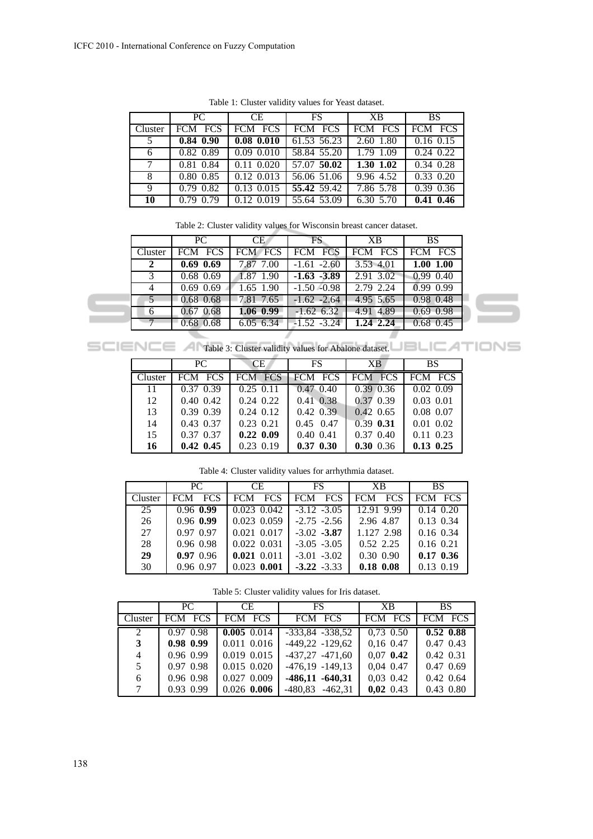|         | PC            | CE.                | $\overline{\text{FS}}$ | XB        | BS.           |
|---------|---------------|--------------------|------------------------|-----------|---------------|
| Cluster | FCM FCS       | FCM FCS            | FCM FCS                | FCM FCS   | FCM FCS       |
| 5       | $0.84$ $0.90$ | $0.08$ $0.010$     | 61.53 56.23            | 2.60 1.80 | $0.16$ 0.15   |
| 6       | 0.82 0.89     | $0.09$ $0.010$     | 58.84 55.20            | 1.79 1.09 | $0.24$ 0.22   |
| $\tau$  | 0.81 0.84     | $0.11 \quad 0.020$ | 57.07 50.02            | 1.30 1.02 | $0.34$ $0.28$ |
| 8       | 0.80 0.85     | 0.12 0.013         | 56.06 51.06            | 9.96 4.52 | 0.33 0.20     |
| 9       | $0.79$ $0.82$ | $0.13$ $0.015$     | 55.42 59.42            | 7.86 5.78 | 0.39 0.36     |
| 10      | 0.79 0.79     | $0.12$ $0.019$     | 55.64 53.09            | 6.30 5.70 | $0.41$ 0.46   |

Table 1: Cluster validity values for Yeast dataset.

| Table 2: Cluster validity values for Wisconsin breast cancer dataset. |  |  |  |  |
|-----------------------------------------------------------------------|--|--|--|--|
|-----------------------------------------------------------------------|--|--|--|--|

|               | PC          | CE          | FS.            | XB        | <b>BS</b>   |
|---------------|-------------|-------------|----------------|-----------|-------------|
| Cluster       | FCM FCS     | FCM FCS     | FCM FCS        | FCM FCS   | FCM FCS     |
|               | $0.69$ 0.69 | 7.87 7.00   | $-1.61 - 2.60$ | 3.53 4.01 | 1.00 1.00   |
| $\mathcal{F}$ | $0.68$ 0.69 | 1.87 1.90   | $-1.63 -3.89$  | 2.91 3.02 | $0.99$ 0.40 |
| 4             | $0.69$ 0.69 | $1.65$ 1.90 | $-1.50 - 0.98$ | 2.79 2.24 | $0.99$ 0.99 |
|               | $0.68$ 0.68 | 7.81 7.65   | $-1.62 -2.64$  | 4.95 5.65 | 0.98 0.48   |
| 6             | 0.67 0.68   | $1.06$ 0.99 | $-1.62$ 6.32   | 4.91 4.89 | $0.69$ 0.98 |
|               | $0.68$ 0.68 | 6.05 6.34   | $-1.52 -3.24$  | 1.24 2.24 | $0.68$ 0.45 |
|               |             |             |                |           |             |

SCIENCE A Table 3: Cluster validity values for Abalone dataset.

|         | PC.             | CE.           | <b>FS</b>      | XB.            | <b>BS</b>     |
|---------|-----------------|---------------|----------------|----------------|---------------|
| Cluster | FCM FCS         | FCM FCS       | <b>FCM FCS</b> | <b>FCM FCS</b> | FCM FCS       |
| 11      | 0.37 0.39       | $0.25$ 0.11   | 0.47, 0.40     | 0.39 0.36      | 0.02, 0.09    |
| 12      | $0.40 \ \ 0.42$ | $0.24$ 0.22   | $0.41$ $0.38$  | 0.37 0.39      | $0.03$ $0.01$ |
| 13      | 0.39 0.39       | $0.24$ 0.12   | $0.42$ $0.39$  | $0.42$ 0.65    | 0.08 0.07     |
| 14      | 0.43 0.37       | $0.23$ 0.21   | $0.45$ 0.47    | 0.39 0.31      | $0.01$ $0.02$ |
| 15      | 0.37 0.37       | $0.22$ $0.09$ | $0.40$ $0.41$  | 0.37 0.40      | $0.11$ $0.23$ |
| 16      | $0.42$ 0.45     | $0.23$ 0.19   | $0.37$ $0.30$  | 0.30 0.36      | $0.13$ $0.25$ |

Table 4: Cluster validity values for arrhythmia dataset.

|         | PC.         | CE.             | FS.            | XB.                      | <b>BS</b>     |
|---------|-------------|-----------------|----------------|--------------------------|---------------|
| Cluster | FCM FCS     | FCM FCS         | FCM FCS        | <b>FCM</b><br><b>FCS</b> | FCM FCS       |
| 25      | $0.96$ 0.99 | $0.023$ $0.042$ | $-3.12 - 3.05$ | 12.91 9.99               | $0.14$ $0.20$ |
| 26      | $0.96$ 0.99 | 0.023 0.059     | $-2.75 - 2.56$ | 2.96 4.87                | 0.13 0.34     |
| 27      | 0.97 0.97   | 0.021 0.017     | $-3.02 - 3.87$ | 1.127 2.98               | $0.16$ 0.34   |
| 28      | 0.96 0.98   | 0.022 0.031     | $-3.05 -3.05$  | 0.52 2.25                | $0.16$ 0.21   |
| 29      | $0.97$ 0.96 | 0.021 0.011     | $-3.01 - 3.02$ | 0.30 0.90                | $0.17$ 0.36   |
| 30      | 0.96 0.97   | $0.023$ 0.001   | $-3.22 - 3.33$ | $0.18$ $0.08$            | 0.13 0.19     |

Table 5: Cluster validity values for Iris dataset.

|         | PC.         | CE.           | FS.                 | XB.         | BS.         |
|---------|-------------|---------------|---------------------|-------------|-------------|
| Cluster | FCM FCS     | FCM FCS       | FCM FCS             | FCM FCS     | FCM FCS     |
| 2       | $0.97$ 0.98 | $0.005$ 0.014 | $-333,84$ $-338,52$ | $0,73$ 0.50 | $0.52$ 0.88 |
| 3       | $0.98$ 0.99 | 0.011 0.016   | $-449,22$ $-129,62$ | $0,16$ 0.47 | 0.47 0.43   |
| 4       | 0.96 0.99   | 0.019 0.015   | $-437,27$ $-471,60$ | $0,07$ 0.42 | 0.42 0.31   |
| 5       | 0.97 0.98   | 0.015 0.020   | $-476,19$ $-149,13$ | 0,04 0.47   | 0.47, 0.69  |
| 6       | 0.96 0.98   | 0.027 0.009   | $-486,11$ $-640,31$ | $0,03$ 0.42 | 0.42 0.64   |
| $\tau$  | 0.93 0.99   | $0.026$ 0.006 | $-480,83$ $-462,31$ | $0,02$ 0.43 | 0.43 0.80   |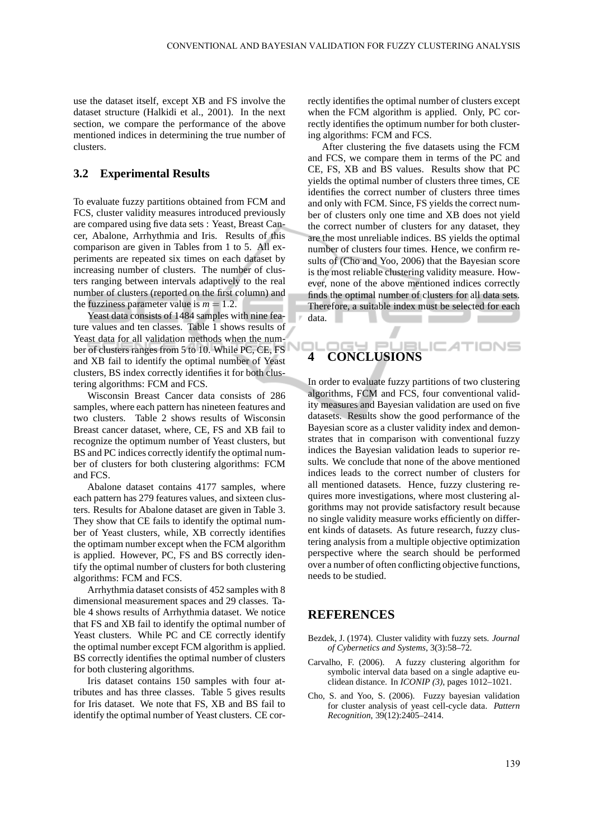use the dataset itself, except XB and FS involve the dataset structure (Halkidi et al., 2001). In the next section, we compare the performance of the above mentioned indices in determining the true number of clusters.

### **3.2 Experimental Results**

To evaluate fuzzy partitions obtained from FCM and FCS, cluster validity measures introduced previously are compared using five data sets : Yeast, Breast Cancer, Abalone, Arrhythmia and Iris. Results of this comparison are given in Tables from 1 to 5. All experiments are repeated six times on each dataset by increasing number of clusters. The number of clusters ranging between intervals adaptively to the real number of clusters (reported on the first column) and the fuzziness parameter value is  $m = 1.2$ .

Yeast data consists of 1484 samples with nine feature values and ten classes. Table 1 shows results of Yeast data for all validation methods when the number of clusters ranges from 5 to 10. While PC, CE, FS and XB fail to identify the optimal number of Yeast clusters, BS index correctly identifies it for both clustering algorithms: FCM and FCS.

Wisconsin Breast Cancer data consists of 286 samples, where each pattern has nineteen features and two clusters. Table 2 shows results of Wisconsin Breast cancer dataset, where, CE, FS and XB fail to recognize the optimum number of Yeast clusters, but BS and PC indices correctly identify the optimal number of clusters for both clustering algorithms: FCM and FCS.

Abalone dataset contains 4177 samples, where each pattern has 279 features values, and sixteen clusters. Results for Abalone dataset are given in Table 3. They show that CE fails to identify the optimal number of Yeast clusters, while, XB correctly identifies the optimam number except when the FCM algorithm is applied. However, PC, FS and BS correctly identify the optimal number of clusters for both clustering algorithms: FCM and FCS.

Arrhythmia dataset consists of 452 samples with 8 dimensional measurement spaces and 29 classes. Table 4 shows results of Arrhythmia dataset. We notice that FS and XB fail to identify the optimal number of Yeast clusters. While PC and CE correctly identify the optimal number except FCM algorithm is applied. BS correctly identifies the optimal number of clusters for both clustering algorithms.

Iris dataset contains 150 samples with four attributes and has three classes. Table 5 gives results for Iris dataset. We note that FS, XB and BS fail to identify the optimal number of Yeast clusters. CE correctly identifies the optimal number of clusters except when the FCM algorithm is applied. Only, PC correctly identifies the optimum number for both clustering algorithms: FCM and FCS.

After clustering the five datasets using the FCM and FCS, we compare them in terms of the PC and CE, FS, XB and BS values. Results show that PC yields the optimal number of clusters three times, CE identifies the correct number of clusters three times and only with FCM. Since, FS yields the correct number of clusters only one time and XB does not yield the correct number of clusters for any dataset, they are the most unreliable indices. BS yields the optimal number of clusters four times. Hence, we confirm results of (Cho and Yoo, 2006) that the Bayesian score is the most reliable clustering validity measure. However, none of the above mentioned indices correctly finds the optimal number of clusters for all data sets. Therefore, a suitable index must be selected for each data. **Contract Contract** 

# IGY PL **4 CONCLUSIONS**

In order to evaluate fuzzy partitions of two clustering algorithms, FCM and FCS, four conventional validity measures and Bayesian validation are used on five datasets. Results show the good performance of the Bayesian score as a cluster validity index and demonstrates that in comparison with conventional fuzzy indices the Bayesian validation leads to superior results. We conclude that none of the above mentioned indices leads to the correct number of clusters for all mentioned datasets. Hence, fuzzy clustering requires more investigations, where most clustering algorithms may not provide satisfactory result because no single validity measure works efficiently on different kinds of datasets. As future research, fuzzy clustering analysis from a multiple objective optimization perspective where the search should be performed over a number of often conflicting objective functions, needs to be studied.

### **REFERENCES**

- Bezdek, J. (1974). Cluster validity with fuzzy sets. *Journal of Cybernetics and Systems*, 3(3):58–72.
- Carvalho, F. (2006). A fuzzy clustering algorithm for symbolic interval data based on a single adaptive euclidean distance. In *ICONIP (3)*, pages 1012–1021.
- Cho, S. and Yoo, S. (2006). Fuzzy bayesian validation for cluster analysis of yeast cell-cycle data. *Pattern Recognition*, 39(12):2405–2414.